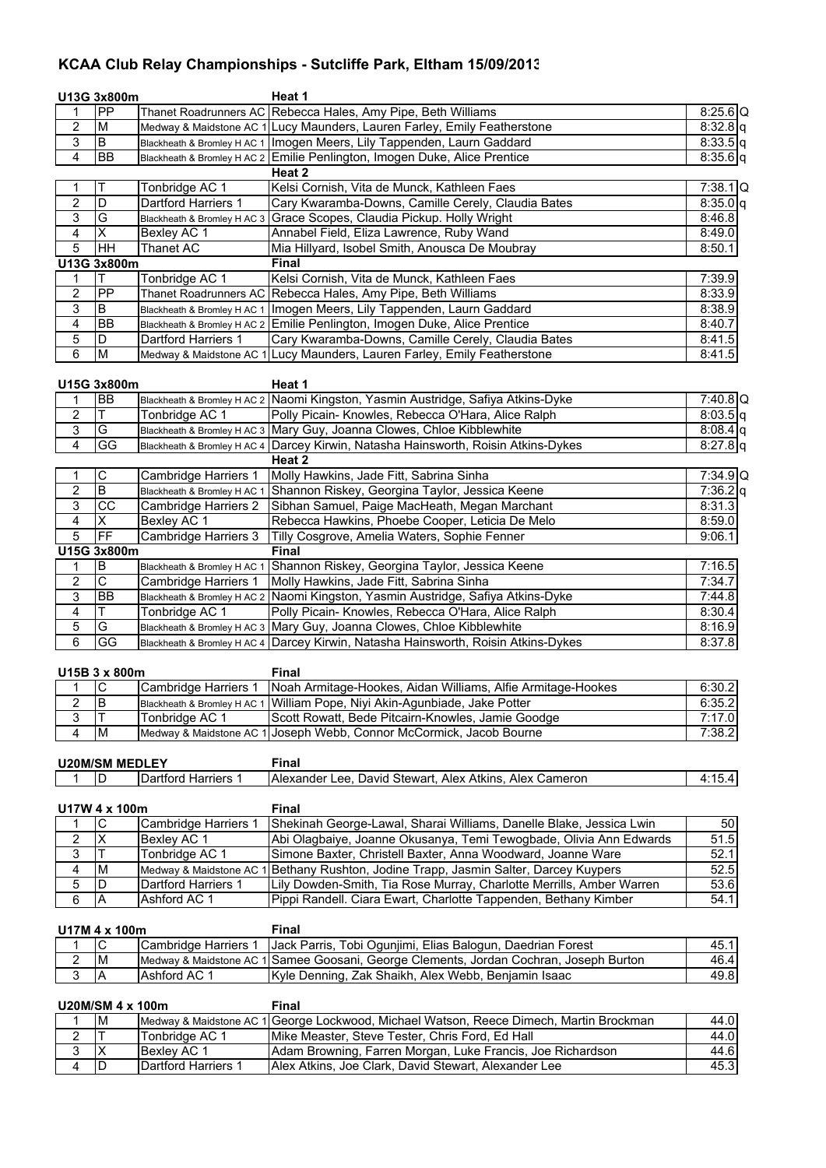## **KCAA Club Relay Championships - Sutcliffe Park, Eltham 15/09/2013**

|                                  | U13G 3x800m             |                                                     | Heat 1                                                                                                                                 |                          |  |  |  |
|----------------------------------|-------------------------|-----------------------------------------------------|----------------------------------------------------------------------------------------------------------------------------------------|--------------------------|--|--|--|
| 1                                | PP                      |                                                     | Thanet Roadrunners AC Rebecca Hales, Amy Pipe, Beth Williams                                                                           | $8:25.6$ Q               |  |  |  |
| $\overline{\mathbf{c}}$          | M                       |                                                     | Medway & Maidstone AC 1 Lucy Maunders, Lauren Farley, Emily Featherstone                                                               | $8:32.8$ q               |  |  |  |
| 3                                | B                       |                                                     | Blackheath & Bromley H AC 1   Imogen Meers, Lily Tappenden, Laurn Gaddard                                                              | $8:33.5$ q               |  |  |  |
| $\overline{4}$                   | <b>BB</b>               |                                                     | Blackheath & Bromley H AC 2 Emilie Penlington, Imogen Duke, Alice Prentice                                                             | $8:35.6$ q               |  |  |  |
|                                  |                         |                                                     | Heat 2                                                                                                                                 |                          |  |  |  |
| $\mathbf{1}$                     | Τ                       | Tonbridge AC 1                                      | Kelsi Cornish, Vita de Munck, Kathleen Faes                                                                                            | $7:38.1$ Q               |  |  |  |
| $\overline{c}$                   | $\overline{D}$          | Dartford Harriers 1                                 | Cary Kwaramba-Downs, Camille Cerely, Claudia Bates                                                                                     | $8:35.0$ q               |  |  |  |
| 3                                | G                       | Blackheath & Bromley H AC 3                         | Grace Scopes, Claudia Pickup. Holly Wright                                                                                             | 8:46.8                   |  |  |  |
| $\overline{4}$                   | $\overline{\mathsf{x}}$ | Bexley AC 1                                         | Annabel Field, Eliza Lawrence, Ruby Wand                                                                                               | 8:49.0                   |  |  |  |
| $\overline{5}$                   | HH                      | <b>Thanet AC</b>                                    | Mia Hillyard, Isobel Smith, Anousca De Moubray                                                                                         | 8:50.1                   |  |  |  |
|                                  | U13G 3x800m             |                                                     | Final                                                                                                                                  |                          |  |  |  |
| 1                                | Τ                       | Tonbridge AC 1                                      | Kelsi Cornish, Vita de Munck, Kathleen Faes                                                                                            | 7:39.9                   |  |  |  |
| $\overline{2}$                   | PP                      |                                                     | Thanet Roadrunners AC Rebecca Hales, Amy Pipe, Beth Williams                                                                           | 8:33.9                   |  |  |  |
| $\overline{3}$                   | B                       |                                                     | Blackheath & Bromley H AC 1   Imogen Meers, Lily Tappenden, Laurn Gaddard                                                              | 8:38.9                   |  |  |  |
| $\overline{4}$                   | <b>BB</b>               |                                                     | Blackheath & Bromley H AC 2 Emilie Penlington, Imogen Duke, Alice Prentice                                                             | 8:40.7                   |  |  |  |
| 5                                | D                       | Dartford Harriers 1                                 | Cary Kwaramba-Downs, Camille Cerely, Claudia Bates                                                                                     | 8:41.5                   |  |  |  |
| $\overline{6}$                   | M                       |                                                     | Medway & Maidstone AC 1 Lucy Maunders, Lauren Farley, Emily Featherstone                                                               | 8:41.5                   |  |  |  |
|                                  |                         |                                                     |                                                                                                                                        |                          |  |  |  |
|                                  | U15G 3x800m             |                                                     | Heat 1                                                                                                                                 |                          |  |  |  |
| 1                                | <b>BB</b><br>T          |                                                     | Blackheath & Bromley H AC 2 Naomi Kingston, Yasmin Austridge, Safiya Atkins-Dyke<br>Polly Picain- Knowles, Rebecca O'Hara, Alice Ralph | $7:40.8$ Q               |  |  |  |
| 2                                | G                       | Tonbridge AC 1                                      |                                                                                                                                        | 8:03.5 q                 |  |  |  |
| 3                                |                         |                                                     | Blackheath & Bromley H AC 3 Mary Guy, Joanna Clowes, Chloe Kibblewhite                                                                 | $8:08.4$ q               |  |  |  |
| $\overline{\mathbf{4}}$          | GG                      |                                                     | Blackheath & Bromley H AC 4 Darcey Kirwin, Natasha Hainsworth, Roisin Atkins-Dykes                                                     | $8:27.8$ q               |  |  |  |
|                                  | C                       | <b>Cambridge Harriers 1</b>                         | Heat 2<br>Molly Hawkins, Jade Fitt, Sabrina Sinha                                                                                      |                          |  |  |  |
| 1<br>2                           | B                       |                                                     | Shannon Riskey, Georgina Taylor, Jessica Keene                                                                                         | $7:34.9$ Q<br>$7:36.2$ q |  |  |  |
| 3                                | cc                      | Blackheath & Bromley H AC 1<br>Cambridge Harriers 2 | Sibhan Samuel, Paige MacHeath, Megan Marchant                                                                                          | 8:31.3                   |  |  |  |
| $\overline{4}$                   | $\overline{\mathsf{x}}$ | Bexley AC 1                                         | Rebecca Hawkins, Phoebe Cooper, Leticia De Melo                                                                                        | 8:59.0                   |  |  |  |
| $\overline{5}$                   | FF                      | Cambridge Harriers 3                                | Tilly Cosgrove, Amelia Waters, Sophie Fenner                                                                                           | 9:06.1                   |  |  |  |
|                                  | U15G 3x800m             |                                                     | <b>Final</b>                                                                                                                           |                          |  |  |  |
| 1                                | B                       | Blackheath & Bromley H AC 1                         | Shannon Riskey, Georgina Taylor, Jessica Keene                                                                                         | 7:16.5                   |  |  |  |
| 2                                | $\overline{\mathsf{C}}$ | Cambridge Harriers 1                                | Molly Hawkins, Jade Fitt, Sabrina Sinha                                                                                                | 7:34.7                   |  |  |  |
| 3                                | <b>BB</b>               |                                                     | Blackheath & Bromley H AC 2 Naomi Kingston, Yasmin Austridge, Safiya Atkins-Dyke                                                       | 7:44.8                   |  |  |  |
| 4                                | т                       | Tonbridge AC 1                                      | Polly Picain- Knowles, Rebecca O'Hara, Alice Ralph                                                                                     | 8:30.4                   |  |  |  |
| $\mathbf 5$                      | G                       |                                                     | Blackheath & Bromley H AC 3 Mary Guy, Joanna Clowes, Chloe Kibblewhite                                                                 | 8:16.9                   |  |  |  |
| 6                                | GG                      |                                                     | Blackheath & Bromley H AC 4 Darcey Kirwin, Natasha Hainsworth, Roisin Atkins-Dykes                                                     | 8:37.8                   |  |  |  |
|                                  |                         |                                                     |                                                                                                                                        |                          |  |  |  |
|                                  | U15B 3 x 800m           |                                                     | <b>Final</b>                                                                                                                           |                          |  |  |  |
| 1                                | $\mathsf C$             | Cambridge Harriers 1                                | Noah Armitage-Hookes, Aidan Williams, Alfie Armitage-Hookes                                                                            | 6:30.2                   |  |  |  |
| $\overline{2}$                   | ΤB                      |                                                     | Blackheath & Bromley H AC 1 William Pope, Niyi Akin-Agunbiade, Jake Potter                                                             | 6:35.2                   |  |  |  |
| 3                                | T                       | Tonbridge AC 1                                      | Scott Rowatt, Bede Pitcairn-Knowles, Jamie Goodge                                                                                      | 7:17.0                   |  |  |  |
| $\overline{\mathbf{4}}$          | M                       | Medway & Maidstone AC<br>1                          | Joseph Webb, Connor McCormick, Jacob Bourne                                                                                            | 7:38.2                   |  |  |  |
|                                  |                         |                                                     |                                                                                                                                        |                          |  |  |  |
|                                  | <b>U20M/SM MEDLEY</b>   |                                                     | <b>Final</b>                                                                                                                           |                          |  |  |  |
| 1                                | D                       | Dartford Harriers 1                                 | Alexander Lee, David Stewart, Alex Atkins, Alex Cameron                                                                                | 4:15.4                   |  |  |  |
|                                  |                         |                                                     |                                                                                                                                        |                          |  |  |  |
|                                  | U17W 4 x 100m           |                                                     | <b>Final</b>                                                                                                                           |                          |  |  |  |
| 1                                | C                       | Cambridge Harriers 1                                | Shekinah George-Lawal, Sharai Williams, Danelle Blake, Jessica Lwin                                                                    | 50                       |  |  |  |
| 2                                | $\overline{\mathsf{x}}$ | Bexley AC 1                                         | Abi Olagbaiye, Joanne Okusanya, Temi Tewogbade, Olivia Ann Edwards                                                                     | 51.5                     |  |  |  |
| $\overline{3}$                   | Τ                       | Tonbridge AC 1                                      | Simone Baxter, Christell Baxter, Anna Woodward, Joanne Ware                                                                            | 52.1                     |  |  |  |
| $\overline{\mathbf{4}}$          | M                       | Medway & Maidstone AC                               | Bethany Rushton, Jodine Trapp, Jasmin Salter, Darcey Kuypers                                                                           | 52.5                     |  |  |  |
| $\,$ 5 $\,$                      | D                       | Dartford Harriers 1                                 | Lily Dowden-Smith, Tia Rose Murray, Charlotte Merrills, Amber Warren                                                                   | 53.6                     |  |  |  |
| $\overline{6}$                   | Α                       | Ashford AC 1                                        | Pippi Randell. Ciara Ewart, Charlotte Tappenden, Bethany Kimber                                                                        | 54.1                     |  |  |  |
|                                  |                         |                                                     |                                                                                                                                        |                          |  |  |  |
|                                  | U17M 4 x 100m           |                                                     | <b>Final</b>                                                                                                                           |                          |  |  |  |
| 1                                | C                       | Cambridge Harriers 1                                | Jack Parris, Tobi Ogunjimi, Elias Balogun, Daedrian Forest                                                                             | 45.1                     |  |  |  |
| $\overline{2}$                   | M                       | Medway & Maidstone AC 1                             | Samee Goosani, George Clements, Jordan Cochran, Joseph Burton                                                                          | 46.4                     |  |  |  |
| $\overline{3}$                   | Α                       | Ashford AC 1                                        | Kyle Denning, Zak Shaikh, Alex Webb, Benjamin Isaac                                                                                    | 49.8                     |  |  |  |
|                                  |                         |                                                     |                                                                                                                                        |                          |  |  |  |
| <b>Final</b><br>U20M/SM 4 x 100m |                         |                                                     |                                                                                                                                        |                          |  |  |  |
| 1                                | M                       | Medway & Maidstone AC 1                             | George Lockwood, Michael Watson, Reece Dimech, Martin Brockman                                                                         | 44.0                     |  |  |  |
| 2                                | T                       | Tonbridge AC 1                                      | Mike Measter, Steve Tester, Chris Ford, Ed Hall                                                                                        | 44.0                     |  |  |  |
| $\overline{3}$                   | X                       | Bexley AC 1                                         | Adam Browning, Farren Morgan, Luke Francis, Joe Richardson                                                                             | 44.6                     |  |  |  |

D Dartford Harriers 1 Alex Atkins, Joe Clark, David Stewart, Alexander Lee 45.3